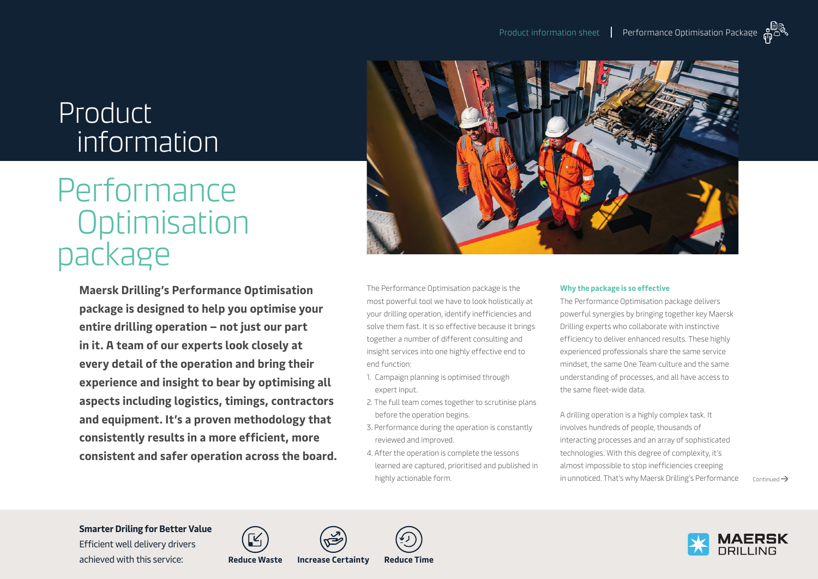## Product information

# Performance **Optimisation** package

**Maersk Drilling's Performance Optimisation package is designed to help you optimise your entire drilling operation – not just our part in it. A team of our experts look closely at every detail of the operation and bring their experience and insight to bear by optimising all aspects including logistics, timings, contractors and equipment. It's a proven methodology that consistently results in a more efficient, more consistent and safer operation across the board.**



The Performance Optimisation package is the most powerful tool we have to look holistically at your drilling operation, identify inefficiencies and solve them fast. It is so effective because it brings together a number of different consulting and insight services into one highly effective end to end function:

- 1. Campaign planning is optimised through expert input.
- 2. The full team comes together to scrutinise plans before the operation begins.
- 3. Performance during the operation is constantly reviewed and improved.
- 4. After the operation is complete the lessons learned are captured, prioritised and published in highly actionable form.

#### **Why the package is so effective**

The Performance Optimisation package delivers powerful synergies by bringing together key Maersk Drilling experts who collaborate with instinctive efficiency to deliver enhanced results. These highly experienced professionals share the same service mindset, the same One Team culture and the same understanding of processes, and all have access to the same fleet-wide data.

A drilling operation is a highly complex task. It involves hundreds of people, thousands of interacting processes and an array of sophisticated technologies. With this degree of complexity, it's almost impossible to stop inefficiencies creeping in unnoticed. That's why Maersk Drilling's Performance  $\overrightarrow{C}$  continued  $\rightarrow$ 

#### **Smarter Driling for Better Value**

Efficient well delivery drivers achieved with this service: **Reduce Waste Increase Certainty Reduce Time**